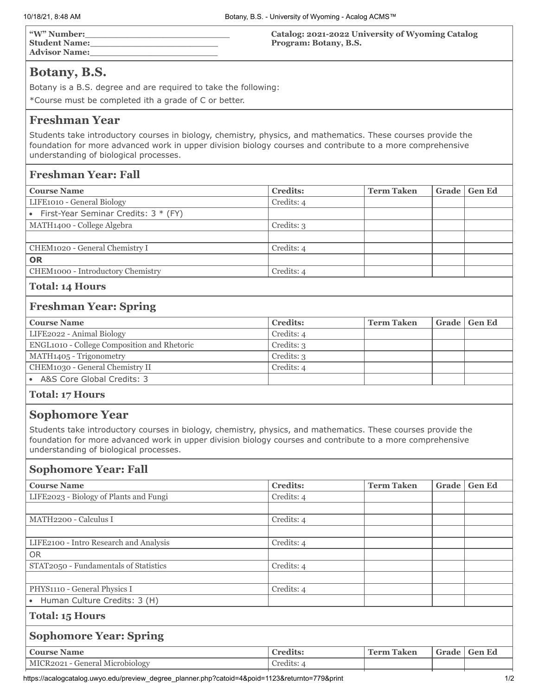| "W" Number:          | <b>Catalog: 2021-2022 University of Wyoming Catalog</b> |
|----------------------|---------------------------------------------------------|
| <b>Student Name:</b> | Program: Botany, B.S.                                   |
| <b>Advisor Name:</b> |                                                         |

# **Botany, B.S.**

Botany is a B.S. degree and are required to take the following:

\*Course must be completed ith a grade of C or better.

## **Freshman Year**

Students take introductory courses in biology, chemistry, physics, and mathematics. These courses provide the foundation for more advanced work in upper division biology courses and contribute to a more comprehensive understanding of biological processes.

## **Freshman Year: Fall**

| <b>Course Name</b>                       | <b>Credits:</b> | <b>Term Taken</b> |  | Grade   Gen Ed |  |
|------------------------------------------|-----------------|-------------------|--|----------------|--|
| LIFE1010 - General Biology               | Credits: 4      |                   |  |                |  |
| • First-Year Seminar Credits: $3 * (FY)$ |                 |                   |  |                |  |
| MATH1400 - College Algebra               | Credits: 3      |                   |  |                |  |
|                                          |                 |                   |  |                |  |
| CHEM1020 - General Chemistry I           | Credits: 4      |                   |  |                |  |
| <b>OR</b>                                |                 |                   |  |                |  |
| CHEM1000 - Introductory Chemistry        | Credits: 4      |                   |  |                |  |
|                                          |                 |                   |  |                |  |

#### **Total: 14 Hours**

## **Freshman Year: Spring**

| <b>Credits:</b> | Term Taken | Grade   Gen Ed |
|-----------------|------------|----------------|
| Credits: 4      |            |                |
| Credits: 3      |            |                |
| Credits: 3      |            |                |
| Credits: 4      |            |                |
|                 |            |                |
|                 |            |                |

#### **Total: 17 Hours**

## **Sophomore Year**

Students take introductory courses in biology, chemistry, physics, and mathematics. These courses provide the foundation for more advanced work in upper division biology courses and contribute to a more comprehensive understanding of biological processes.

### **Sophomore Year: Fall**

| <b>Course Name</b>                     | <b>Credits:</b> | <b>Term Taken</b> | Grade | <b>Gen Ed</b> |
|----------------------------------------|-----------------|-------------------|-------|---------------|
| LIFE2023 - Biology of Plants and Fungi | Credits: 4      |                   |       |               |
|                                        |                 |                   |       |               |
| MATH2200 - Calculus I                  | Credits: 4      |                   |       |               |
|                                        |                 |                   |       |               |
| LIFE2100 - Intro Research and Analysis | Credits: 4      |                   |       |               |
| <b>OR</b>                              |                 |                   |       |               |
| STAT2050 - Fundamentals of Statistics  | Credits: 4      |                   |       |               |
|                                        |                 |                   |       |               |
| PHYS1110 - General Physics I           | Credits: 4      |                   |       |               |
| • Human Culture Credits: 3 (H)         |                 |                   |       |               |
| <b>Total: 15 Hours</b>                 |                 |                   |       |               |
| <b>Sophomore Year: Spring</b>          |                 |                   |       |               |
| <b>Course Name</b>                     | <b>Credits:</b> | <b>Term Taken</b> | Grade | <b>Gen Ed</b> |
| MICR2021 - General Microbiology        | Credits: 4      |                   |       |               |

https://acalogcatalog.uwyo.edu/preview\_degree\_planner.php?catoid=4&poid=1123&returnto=779&print 1/2